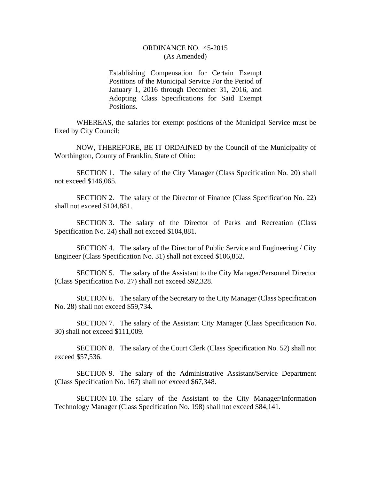## ORDINANCE NO. 45-2015 (As Amended)

Establishing Compensation for Certain Exempt Positions of the Municipal Service For the Period of January 1, 2016 through December 31, 2016, and Adopting Class Specifications for Said Exempt Positions.

WHEREAS, the salaries for exempt positions of the Municipal Service must be fixed by City Council;

NOW, THEREFORE, BE IT ORDAINED by the Council of the Municipality of Worthington, County of Franklin, State of Ohio:

SECTION 1. The salary of the City Manager (Class Specification No. 20) shall not exceed \$146,065.

SECTION 2. The salary of the Director of Finance (Class Specification No. 22) shall not exceed \$104,881.

SECTION 3. The salary of the Director of Parks and Recreation (Class Specification No. 24) shall not exceed \$104,881.

SECTION 4. The salary of the Director of Public Service and Engineering / City Engineer (Class Specification No. 31) shall not exceed \$106,852.

SECTION 5. The salary of the Assistant to the City Manager/Personnel Director (Class Specification No. 27) shall not exceed \$92,328.

SECTION 6. The salary of the Secretary to the City Manager (Class Specification No. 28) shall not exceed \$59,734.

SECTION 7. The salary of the Assistant City Manager (Class Specification No. 30) shall not exceed \$111,009.

SECTION 8. The salary of the Court Clerk (Class Specification No. 52) shall not exceed \$57,536.

SECTION 9. The salary of the Administrative Assistant/Service Department (Class Specification No. 167) shall not exceed \$67,348.

SECTION 10. The salary of the Assistant to the City Manager/Information Technology Manager (Class Specification No. 198) shall not exceed \$84,141.